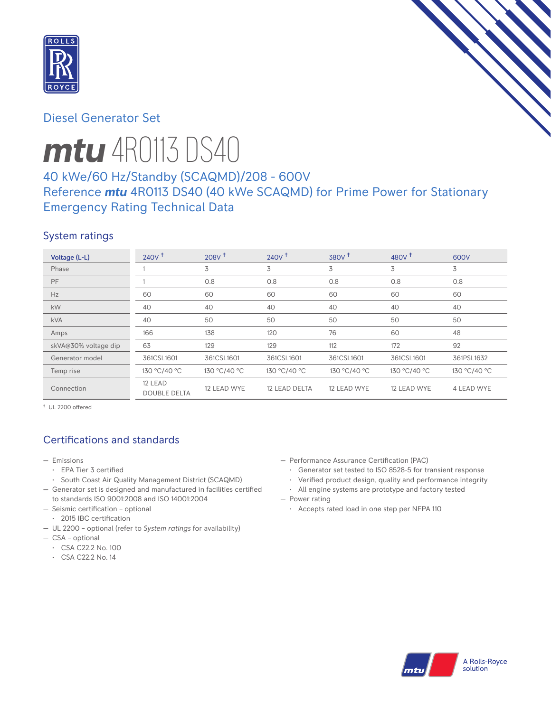

# Diesel Generator Set



# *mtu* 4R0113 DS40

# 40 kWe/60 Hz/Standby (SCAQMD)/208 - 600V Reference *mtu* 4R0113 DS40 (40 kWe SCAQMD) for Prime Power for Stationary Emergency Rating Technical Data

# System ratings

| Voltage (L-L)        | $240V$ <sup>t</sup>            | 208V <sup>†</sup> | $240V$ <sup>+</sup> | 380V <sup>†</sup> | 480 $V†$     | 600V         |
|----------------------|--------------------------------|-------------------|---------------------|-------------------|--------------|--------------|
| Phase                |                                | 3                 | 3                   | 3                 | 3            | 3            |
| PF                   |                                | 0.8               | 0.8                 | 0.8               | 0.8          | 0.8          |
| Hz                   | 60                             | 60                | 60                  | 60                | 60           | 60           |
| kW                   | 40                             | 40                | 40                  | 40                | 40           | 40           |
| <b>kVA</b>           | 40                             | 50                | 50                  | 50                | 50           | 50           |
| Amps                 | 166                            | 138               | 120                 | 76                | 60           | 48           |
| skVA@30% voltage dip | 63                             | 129               | 129                 | 112               | 172          | 92           |
| Generator model      | 361CSL1601                     | 361CSL1601        | 361CSL1601          | 361CSL1601        | 361CSL1601   | 361PSL1632   |
| Temp rise            | 130 °C/40 °C                   | 130 °C/40 °C      | 130 °C/40 °C        | 130 °C/40 °C      | 130 °C/40 °C | 130 °C/40 °C |
| Connection           | 12 LEAD<br><b>DOUBLE DELTA</b> | 12 LEAD WYE       | 12 LEAD DELTA       | 12 LEAD WYE       | 12 LEAD WYE  | 4 LEAD WYE   |

† UL 2200 offered

# Certifications and standards

- Emissions
	- EPA Tier 3 certified
	- South Coast Air Quality Management District (SCAQMD)
- Generator set is designed and manufactured in facilities certified to standards ISO 9001:2008 and ISO 14001:2004
- Seismic certification optional
- 2015 IBC certification
- UL 2200 optional (refer to *System ratings* for availability)
- CSA optional
	- CSA C22.2 No. 100
	- CSA C22.2 No. 14
- Performance Assurance Certification (PAC)
	- Generator set tested to ISO 8528-5 for transient response
	- Verified product design, quality and performance integrity
- All engine systems are prototype and factory tested — Power rating
	- Accepts rated load in one step per NFPA 110

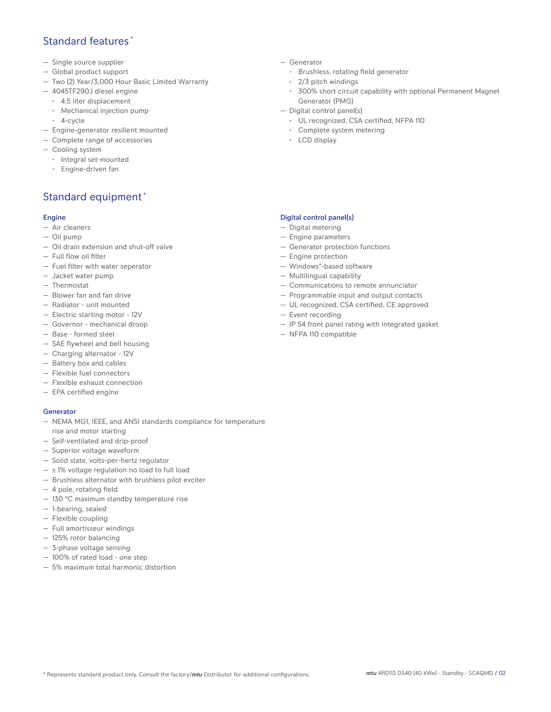## Standard features \*

- Single source supplier
- Global product support
- Two (2) Year/3,000 Hour Basic Limited Warranty
- 4045TF290J diesel engine
	- 4.5 liter displacement
	- Mechanical injection pump
	- 4-cycle
- Engine-generator resilient mounted
- Complete range of accessories
- Cooling system
- Integral set-mounted
	- Engine-driven fan

# Standard equipment \*

#### Engine

- Air cleaners
- Oil pump
- Oil drain extension and shut-off valve
- Full flow oil filter
- Fuel filter with water seperator
- Jacket water pump
- Thermostat
- Blower fan and fan drive
- Radiator unit mounted
- Electric starting motor 12V
- Governor mechanical droop
- Base formed steel
- SAE flywheel and bell housing
- Charging alternator 12V
- Battery box and cables
- Flexible fuel connectors
- Flexible exhaust connection
- EPA certified engine

#### **Generator**

- NEMA MG1, IEEE, and ANSI standards compliance for temperature rise and motor starting
- Self-ventilated and drip-proof
- Superior voltage waveform
- Solid state, volts-per-hertz regulator
- $\pm$  1% voltage regulation no load to full load
- Brushless alternator with brushless pilot exciter
- 4 pole, rotating field
- 130 °C maximum standby temperature rise
- 1-bearing, sealed
- Flexible coupling
- Full amortisseur windings
- 125% rotor balancing
- 3-phase voltage sensing
- 100% of rated load one step
- 5% maximum total harmonic distortion
- Generator
	- Brushless, rotating field generator
	- 2/3 pitch windings
	- 300% short circuit capability with optional Permanent Magnet Generator (PMG)
- Digital control panel(s)
	- UL recognized, CSA certified, NFPA 110
	- Complete system metering
	- LCD display

### Digital control panel(s)

- Digital metering
- Engine parameters
- Generator protection functions
- Engine protection
- Windows®-based software
- Multilingual capability
- Communications to remote annunciator
- Programmable input and output contacts
- UL recognized, CSA certified, CE approved
- Event recording
- IP 54 front panel rating with integrated gasket
- NFPA 110 compatible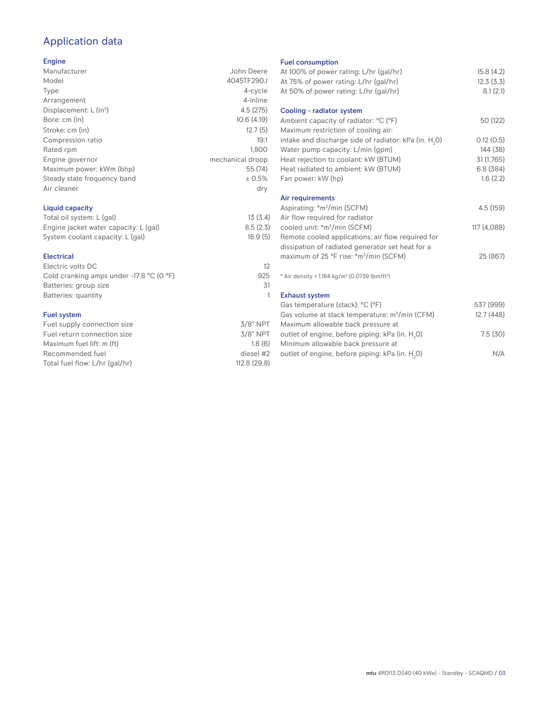# Application data

## Engine

| Manufacturer                         | John Deere       |
|--------------------------------------|------------------|
| Model                                | 4045TF290J       |
| Type                                 | 4-cycle          |
| Arrangement                          | 4-inline         |
| Displacement: $L$ (in <sup>3</sup> ) | 4.5(275)         |
| Bore: cm (in)                        | 10.6(4.19)       |
| Stroke: cm (in)                      | 12.7(5)          |
| Compression ratio                    | 19:1             |
| Rated rpm                            | 1.800            |
| Engine governor                      | mechanical droop |
| Maximum power: kWm (bhp)             | 55 (74)          |
| Steady state frequency band          | ± 0.5%           |
| Air cleaner                          | dry              |
|                                      |                  |

## Liquid capacity

| Total oil system: L (gal)             | 13(3.4)  |
|---------------------------------------|----------|
| Engine jacket water capacity: L (gal) | 8.5(2.3) |
| System coolant capacity: L (gal)      | 18.9(5)  |

#### Electrical

| Electric volts DC                                            |     |
|--------------------------------------------------------------|-----|
| Cold cranking amps under -17.8 $^{\circ}$ C (O $^{\circ}$ F) | 925 |
| Batteries: group size                                        | .31 |
| Batteries: quantity                                          |     |
|                                                              |     |

## Fuel system

| Fuel supply connection size    | $3/8"$ NPT   |
|--------------------------------|--------------|
| Fuel return connection size    | $3/8$ " NPT  |
| Maximum fuel lift: m (ft)      | 1.8(6)       |
| Recommended fuel               | diesel #2    |
| Total fuel flow: L/hr (gal/hr) | 112.8 (29.8) |
|                                |              |

#### Fuel consumption

| <b>I GET CONSUMPTION</b>                                             |             |
|----------------------------------------------------------------------|-------------|
| At 100% of power rating: L/hr (gal/hr)                               | 15.8(4.2)   |
| At 75% of power rating: L/hr (gal/hr)                                | 12.3(3.3)   |
| At 50% of power rating: L/hr (gal/hr)                                | 8.1(2.1)    |
| Cooling - radiator system                                            |             |
| Ambient capacity of radiator: °C (°F)                                | 50 (122)    |
| Maximum restriction of cooling air:                                  |             |
| intake and discharge side of radiator: kPa (in. H <sub>2</sub> O)    | 0.12(0.5)   |
| Water pump capacity: L/min (gpm)                                     | 144 (38)    |
| Heat rejection to coolant: kW (BTUM)                                 | 31 (1,765)  |
| Heat radiated to ambient: kW (BTUM)                                  | 6.8(384)    |
| Fan power: kW (hp)                                                   | 1.6(2.2)    |
| Air requirements                                                     |             |
| Aspirating: *m <sup>3</sup> /min (SCFM)                              | 4.5 (159)   |
| Air flow required for radiator                                       |             |
| cooled unit: *m <sup>3</sup> /min (SCFM)                             | 117 (4,088) |
| Remote cooled applications; air flow required for                    |             |
| dissipation of radiated generator set heat for a                     |             |
| maximum of 25 °F rise: *m <sup>3</sup> /min (SCFM)                   | 25 (867)    |
| * Air density = $1.184 \text{ kg/m}^3$ (0.0739 lbm/ft <sup>3</sup> ) |             |
| <b>Exhaust system</b>                                                |             |
| Gas temperature (stack): °C (°F)                                     | 537 (999)   |
| Gas volume at stack temperature: m <sup>3</sup> /min (CFM)           | 12.7(448)   |
| Maximum allowable back pressure at                                   |             |
| outlet of engine, before piping: kPa (in. H <sub>2</sub> 0)          | 7.5(30)     |
| Minimum allowable back pressure at                                   |             |
| outlet of engine, before piping: kPa (in. H <sub>2</sub> 0)          | N/A         |
|                                                                      |             |